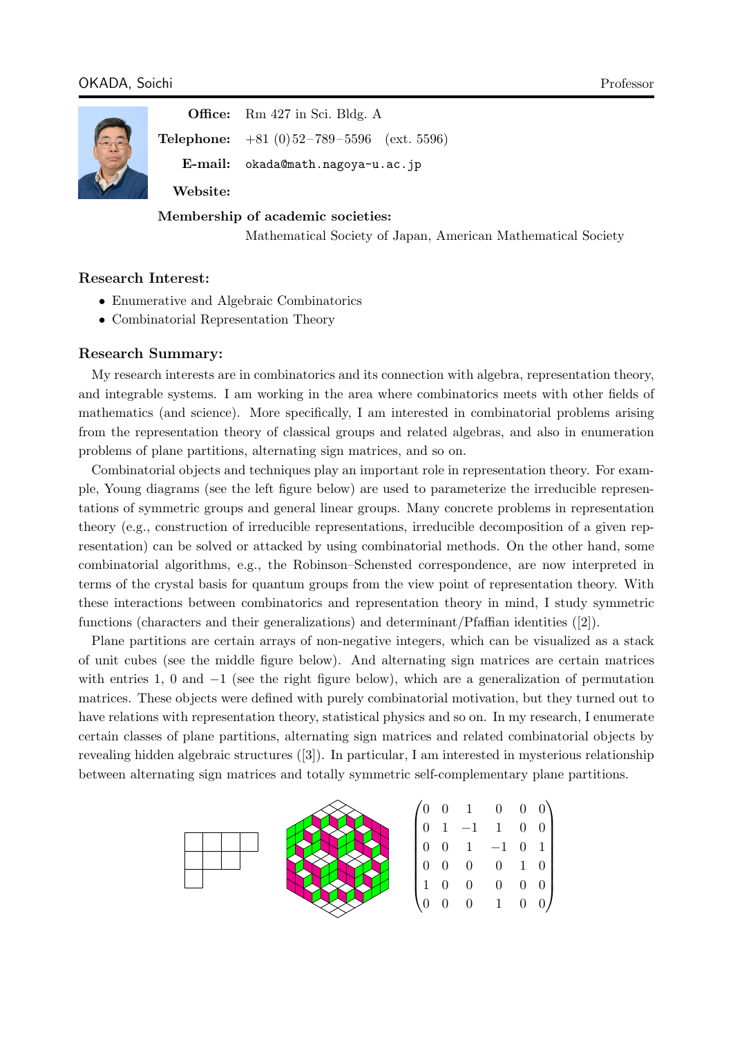

**Office:** Rm 427 in Sci. Bldg. A

**Telephone:** +81 (0) 52 – 789 – 5596 (ext. 5596)

**E-mail:** okada@math.nagoya-u.ac.jp

**Website:**

# **Membership of academic societies:**

[Mathematical Society of Japan](okada@math.nagoya-u.ac.jp), American Mathematical Society

# **Research Interest:**

- Enumerative and Algebraic Combinatorics
- *•* Combinatorial Representation Theory

## **Research Summary:**

My research interests are in combinatorics and its connection with algebra, representation theory, and integrable systems. I am working in the area where combinatorics meets with other fields of mathematics (and science). More specifically, I am interested in combinatorial problems arising from the representation theory of classical groups and related algebras, and also in enumeration problems of plane partitions, alternating sign matrices, and so on.

Combinatorial objects and techniques play an important role in representation theory. For example, Young diagrams (see the left figure below) are used to parameterize the irreducible representations of symmetric groups and general linear groups. Many concrete problems in representation theory (e.g., construction of irreducible representations, irreducible decomposition of a given representation) can be solved or attacked by using combinatorial methods. On the other hand, some combinatorial algorithms, e.g., the Robinson–Schensted correspondence, are now interpreted in terms of the crystal basis for quantum groups from the view point of representation theory. With these interactions between combinatorics and representation theory in mind, I study symmetric functions (characters and their generalizations) and determinant/Pfaffian identities ([2]).

Plane partitions are certain arrays of non-negative integers, which can be visualized as a stack of unit cubes (see the middle figure below). And alternating sign matrices are certain matrices with entries 1, 0 and *−*1 (see the right figure below), which are a generalization of permutation matrices. These objects were defined with purely combinatorial motivation, but they turned out to have relations with representation theory, statistical physics and so on. In my research, I enumerate certain classes of plane partitions, alternating sign matrices and related combinatorial objects by revealing hidden algebraic structures ([3]). In particular, I am interested in mysterious relationship between alternating sign matrices and totally symmetric self-complementary plane partitions.